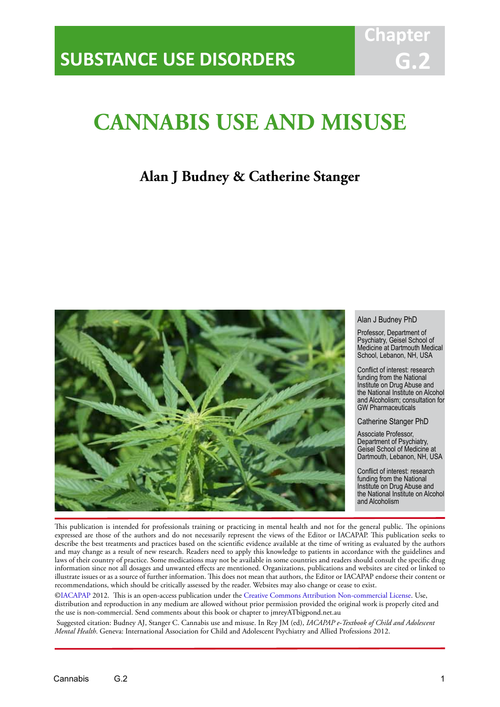# **CANNABIS USE AND MISUSE**

IACAPAP Textbook of Child and Adolescent Mental Health

# **Alan J Budney & Catherine Stanger**



#### Alan J Budney PhD

**Chapt** 

**G.2**

Professor, Department of Psychiatry, Geisel School of Medicine at Dartmouth Medical School, Lebanon, NH, USA

Conflict of interest: research funding from the National Institute on Drug Abuse and the National Institute on Alcohol and Alcoholism; consultation for GW Pharmaceuticals

Catherine Stanger PhD

Associate Professor, Department of Psychiatry, Geisel School of Medicine at Dartmouth, Lebanon, NH, USA

Conflict of interest: research funding from the National Institute on Drug Abuse and the National Institute on Alcohol and Alcoholism

This publication is intended for professionals training or practicing in mental health and not for the general public. The opinions expressed are those of the authors and do not necessarily represent the views of the Editor or IACAPAP. This publication seeks to describe the best treatments and practices based on the scientific evidence available at the time of writing as evaluated by the authors and may change as a result of new research. Readers need to apply this knowledge to patients in accordance with the guidelines and laws of their country of practice. Some medications may not be available in some countries and readers should consult the specific drug information since not all dosages and unwanted effects are mentioned. Organizations, publications and websites are cited or linked to illustrate issues or as a source of further information. This does not mean that authors, the Editor or IACAPAP endorse their content or recommendations, which should be critically assessed by the reader. Websites may also change or cease to exist.

[©IACAPAP](http://iacapap.org/) 2012. This is an open-access publication under the [Creative Commons Attribution Non-commercial License](http://creativecommons.org/licenses/by-nc/2.0/). Use, distribution and reproduction in any medium are allowed without prior permission provided the original work is properly cited and the use is non-commercial. Send comments about this book or chapter to jmreyATbigpond.net.au

 Suggested citation: Budney AJ, Stanger C. Cannabis use and misuse. In Rey JM (ed), *IACAPAP e-Textbook of Child and Adolescent Mental Health*. Geneva: International Association for Child and Adolescent Psychiatry and Allied Professions 2012.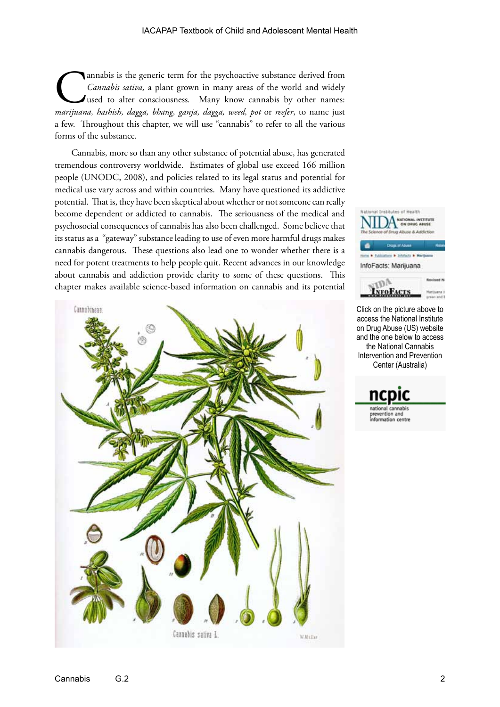Cannabis is the generic term for the psychoactive substance derived from<br>Cannabis sativa, a plant grown in many areas of the world and widely<br>used to alter consciousness. Many know cannabis by other names:<br>marijuana, hashi *Cannabis sativa,* a plant grown in many areas of the world and widely used to alter consciousness*.* Many know cannabis by other names: *marijuana, hashish, dagga, bhang, ganja, dagga, weed, pot* or *reefer*, to name just a few. Throughout this chapter, we will use "cannabis" to refer to all the various forms of the substance.

Cannabis, more so than any other substance of potential abuse, has generated tremendous controversy worldwide. Estimates of global use exceed 166 million people (UNODC, 2008), and policies related to its legal status and potential for medical use vary across and within countries. Many have questioned its addictive potential. That is, they have been skeptical about whether or not someone can really become dependent or addicted to cannabis. The seriousness of the medical and psychosocial consequences of cannabis has also been challenged. Some believe that its status as a "gateway" substance leading to use of even more harmful drugs makes cannabis dangerous. These questions also lead one to wonder whether there is a need for potent treatments to help people quit. Recent advances in our knowledge about cannabis and addiction provide clarity to some of these questions. This chapter makes available science-based information on cannabis and its potential





Click on the picture above to access the National Institute on Drug Abuse (US) website and the one below to access the National Cannabis Intervention and Prevention Center (Australia)

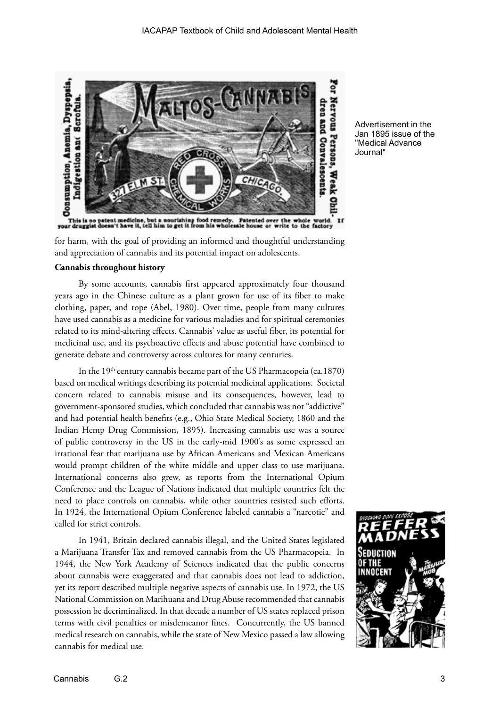

Advertisement in the Jan 1895 issue of the "Medical Advance Journal"

for harm, with the goal of providing an informed and thoughtful understanding and appreciation of cannabis and its potential impact on adolescents.

#### **Cannabis throughout history**

By some accounts, cannabis first appeared approximately four thousand years ago in the Chinese culture as a plant grown for use of its fiber to make clothing, paper, and rope (Abel, 1980). Over time, people from many cultures have used cannabis as a medicine for various maladies and for spiritual ceremonies related to its mind-altering effects. Cannabis' value as useful fiber, its potential for medicinal use, and its psychoactive effects and abuse potential have combined to generate debate and controversy across cultures for many centuries.

In the  $19<sup>th</sup>$  century cannabis became part of the US Pharmacopeia (ca.1870) based on medical writings describing its potential medicinal applications. Societal concern related to cannabis misuse and its consequences, however, lead to government-sponsored studies, which concluded that cannabis was not "addictive" and had potential health benefits (e.g., Ohio State Medical Society, 1860 and the Indian Hemp Drug Commission, 1895). Increasing cannabis use was a source of public controversy in the US in the early-mid 1900's as some expressed an irrational fear that marijuana use by African Americans and Mexican Americans would prompt children of the white middle and upper class to use marijuana. International concerns also grew, as reports from the International Opium Conference and the League of Nations indicated that multiple countries felt the need to place controls on cannabis, while other countries resisted such efforts. In 1924, the International Opium Conference labeled cannabis a "narcotic" and called for strict controls.

In 1941, Britain declared cannabis illegal, and the United States legislated a Marijuana Transfer Tax and removed cannabis from the US Pharmacopeia. In 1944, the New York Academy of Sciences indicated that the public concerns about cannabis were exaggerated and that cannabis does not lead to addiction, yet its report described multiple negative aspects of cannabis use. In 1972, the US National Commission on Marihuana and Drug Abuse recommended that cannabis possession be decriminalized. In that decade a number of US states replaced prison terms with civil penalties or misdemeanor fines. Concurrently, the US banned medical research on cannabis, while the state of New Mexico passed a law allowing cannabis for medical use.

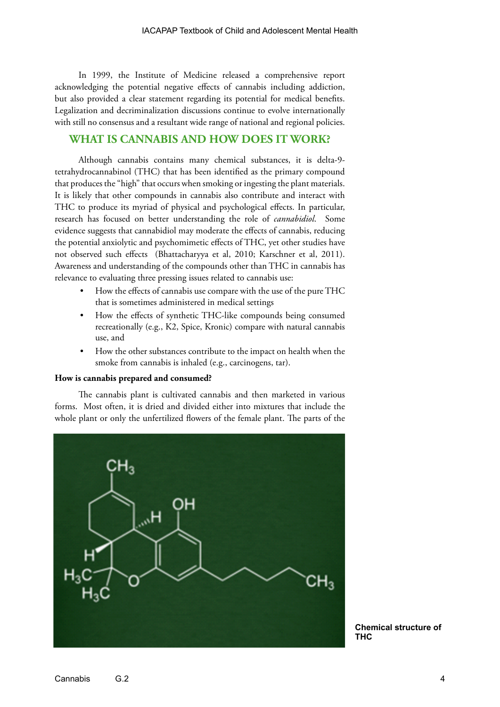In 1999, the Institute of Medicine released a comprehensive report acknowledging the potential negative effects of cannabis including addiction, but also provided a clear statement regarding its potential for medical benefits. Legalization and decriminalization discussions continue to evolve internationally with still no consensus and a resultant wide range of national and regional policies.

# **WHAT IS CANNABIS AND HOW DOES IT WORK?**

Although cannabis contains many chemical substances, it is delta-9 tetrahydrocannabinol (THC) that has been identified as the primary compound that produces the "high" that occurs when smoking or ingesting the plant materials. It is likely that other compounds in cannabis also contribute and interact with THC to produce its myriad of physical and psychological effects. In particular, research has focused on better understanding the role of *cannabidiol*. Some evidence suggests that cannabidiol may moderate the effects of cannabis, reducing the potential anxiolytic and psychomimetic effects of THC, yet other studies have not observed such effects (Bhattacharyya et al, 2010; Karschner et al, 2011). Awareness and understanding of the compounds other than THC in cannabis has relevance to evaluating three pressing issues related to cannabis use:

- How the effects of cannabis use compare with the use of the pure THC that is sometimes administered in medical settings
- How the effects of synthetic THC-like compounds being consumed recreationally (e.g., K2, Spice, Kronic) compare with natural cannabis use, and
- How the other substances contribute to the impact on health when the smoke from cannabis is inhaled (e.g., carcinogens, tar).

#### **How is cannabis prepared and consumed?**

The cannabis plant is cultivated cannabis and then marketed in various forms. Most often, it is dried and divided either into mixtures that include the whole plant or only the unfertilized flowers of the female plant. The parts of the



**Chemical structure of THC**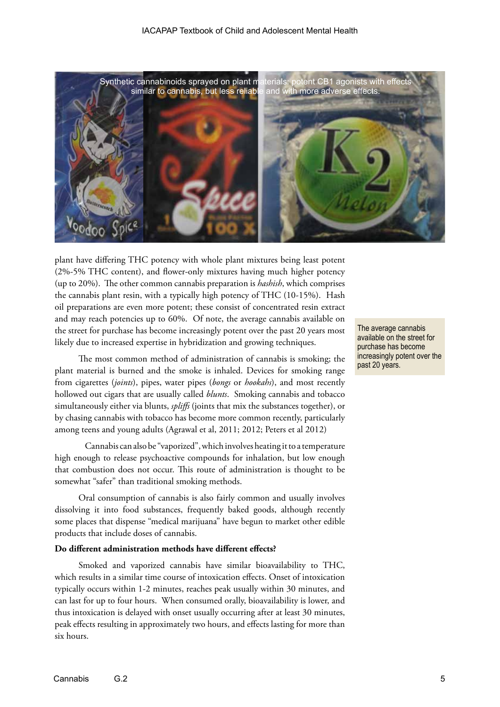

plant have differing THC potency with whole plant mixtures being least potent (2%-5% THC content), and flower-only mixtures having much higher potency (up to 20%). The other common cannabis preparation is *hashish*, which comprises the cannabis plant resin, with a typically high potency of THC (10-15%). Hash oil preparations are even more potent; these consist of concentrated resin extract and may reach potencies up to 60%. Of note, the average cannabis available on the street for purchase has become increasingly potent over the past 20 years most likely due to increased expertise in hybridization and growing techniques.

The most common method of administration of cannabis is smoking; the plant material is burned and the smoke is inhaled. Devices for smoking range from cigarettes (*joints*), pipes, water pipes (*bongs* or *hookahs*), and most recently hollowed out cigars that are usually called *blunts*. Smoking cannabis and tobacco simultaneously either via blunts, *spliffs* (joints that mix the substances together), or by chasing cannabis with tobacco has become more common recently, particularly among teens and young adults (Agrawal et al, 2011; 2012; Peters et al 2012)

Cannabis can also be "vaporized", which involves heating it to a temperature high enough to release psychoactive compounds for inhalation, but low enough that combustion does not occur. This route of administration is thought to be somewhat "safer" than traditional smoking methods.

Oral consumption of cannabis is also fairly common and usually involves dissolving it into food substances, frequently baked goods, although recently some places that dispense "medical marijuana" have begun to market other edible products that include doses of cannabis.

#### **Do different administration methods have different effects?**

Smoked and vaporized cannabis have similar bioavailability to THC, which results in a similar time course of intoxication effects. Onset of intoxication typically occurs within 1-2 minutes, reaches peak usually within 30 minutes, and can last for up to four hours. When consumed orally, bioavailability is lower, and thus intoxication is delayed with onset usually occurring after at least 30 minutes, peak effects resulting in approximately two hours, and effects lasting for more than six hours.

The average cannabis available on the street for purchase has become increasingly potent over the past 20 years.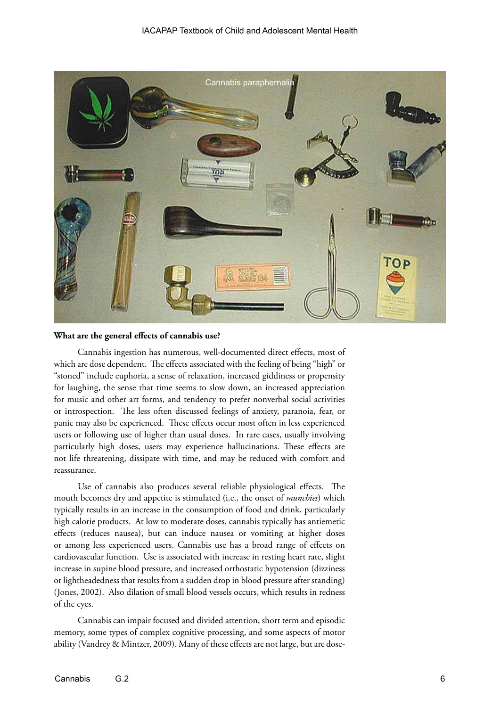

#### **What are the general effects of cannabis use?**

Cannabis ingestion has numerous, well-documented direct effects, most of which are dose dependent. The effects associated with the feeling of being "high" or "stoned" include euphoria, a sense of relaxation, increased giddiness or propensity for laughing, the sense that time seems to slow down, an increased appreciation for music and other art forms, and tendency to prefer nonverbal social activities or introspection. The less often discussed feelings of anxiety, paranoia, fear, or panic may also be experienced. These effects occur most often in less experienced users or following use of higher than usual doses. In rare cases, usually involving particularly high doses, users may experience hallucinations. These effects are not life threatening, dissipate with time, and may be reduced with comfort and reassurance.

Use of cannabis also produces several reliable physiological effects. The mouth becomes dry and appetite is stimulated (i.e., the onset of *munchies*) which typically results in an increase in the consumption of food and drink, particularly high calorie products. At low to moderate doses, cannabis typically has antiemetic effects (reduces nausea), but can induce nausea or vomiting at higher doses or among less experienced users. Cannabis use has a broad range of effects on cardiovascular function. Use is associated with increase in resting heart rate, slight increase in supine blood pressure, and increased orthostatic hypotension (dizziness or lightheadedness that results from a sudden drop in blood pressure after standing) (Jones, 2002). Also dilation of small blood vessels occurs, which results in redness of the eyes.

Cannabis can impair focused and divided attention, short term and episodic memory, some types of complex cognitive processing, and some aspects of motor ability (Vandrey & Mintzer, 2009). Many of these effects are not large, but are dose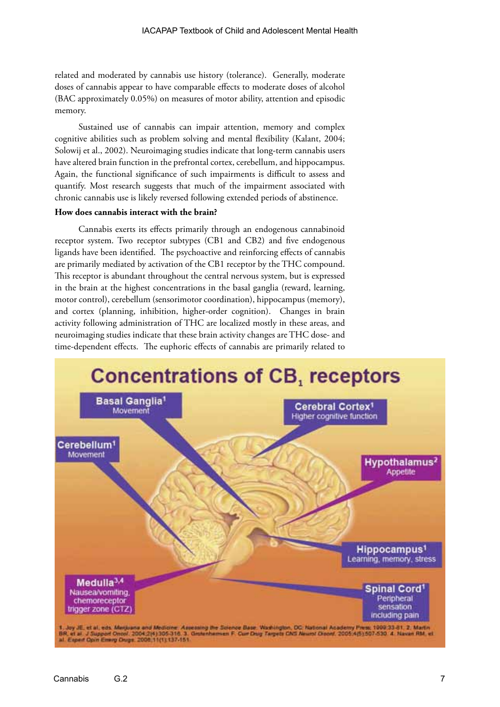related and moderated by cannabis use history (tolerance). Generally, moderate doses of cannabis appear to have comparable effects to moderate doses of alcohol (BAC approximately 0.05%) on measures of motor ability, attention and episodic memory.

Sustained use of cannabis can impair attention, memory and complex cognitive abilities such as problem solving and mental flexibility (Kalant, 2004; Solowij et al., 2002). Neuroimaging studies indicate that long-term cannabis users have altered brain function in the prefrontal cortex, cerebellum, and hippocampus. Again, the functional significance of such impairments is difficult to assess and quantify. Most research suggests that much of the impairment associated with chronic cannabis use is likely reversed following extended periods of abstinence.

#### **How does cannabis interact with the brain?**

Cannabis exerts its effects primarily through an endogenous cannabinoid receptor system. Two receptor subtypes (CB1 and CB2) and five endogenous ligands have been identified. The psychoactive and reinforcing effects of cannabis are primarily mediated by activation of the CB1 receptor by the THC compound. This receptor is abundant throughout the central nervous system, but is expressed in the brain at the highest concentrations in the basal ganglia (reward, learning, motor control), cerebellum (sensorimotor coordination), hippocampus (memory), and cortex (planning, inhibition, higher-order cognition). Changes in brain activity following administration of THC are localized mostly in these areas, and neuroimaging studies indicate that these brain activity changes are THC dose- and time-dependent effects. The euphoric effects of cannabis are primarily related to

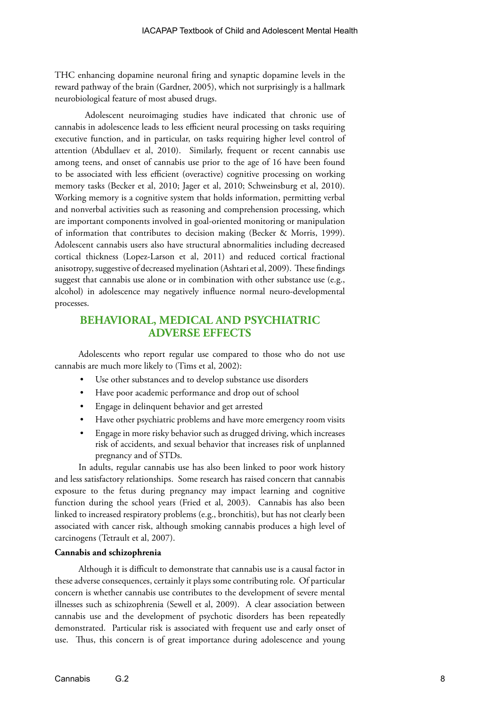THC enhancing dopamine neuronal firing and synaptic dopamine levels in the reward pathway of the brain (Gardner, 2005), which not surprisingly is a hallmark neurobiological feature of most abused drugs.

Adolescent neuroimaging studies have indicated that chronic use of cannabis in adolescence leads to less efficient neural processing on tasks requiring executive function, and in particular, on tasks requiring higher level control of attention (Abdullaev et al, 2010). Similarly, frequent or recent cannabis use among teens, and onset of cannabis use prior to the age of 16 have been found to be associated with less efficient (overactive) cognitive processing on working memory tasks (Becker et al, 2010; Jager et al, 2010; Schweinsburg et al, 2010). Working memory is a cognitive system that holds information, permitting verbal and nonverbal activities such as reasoning and comprehension processing, which are important components involved in goal-oriented monitoring or manipulation of information that contributes to decision making (Becker & Morris, 1999). Adolescent cannabis users also have structural abnormalities including decreased cortical thickness (Lopez-Larson et al, 2011) and reduced cortical fractional anisotropy, suggestive of decreased myelination (Ashtari et al, 2009). These findings suggest that cannabis use alone or in combination with other substance use (e.g., alcohol) in adolescence may negatively influence normal neuro-developmental processes.

# **BEHAVIORAL, MEDICAL AND PSYCHIATRIC ADVERSE EFFECTS**

Adolescents who report regular use compared to those who do not use cannabis are much more likely to (Tims et al, 2002):

- Use other substances and to develop substance use disorders
- Have poor academic performance and drop out of school
- Engage in delinquent behavior and get arrested
- Have other psychiatric problems and have more emergency room visits
- Engage in more risky behavior such as drugged driving, which increases risk of accidents, and sexual behavior that increases risk of unplanned pregnancy and of STDs.

In adults, regular cannabis use has also been linked to poor work history and less satisfactory relationships. Some research has raised concern that cannabis exposure to the fetus during pregnancy may impact learning and cognitive function during the school years (Fried et al, 2003). Cannabis has also been linked to increased respiratory problems (e.g., bronchitis), but has not clearly been associated with cancer risk, although smoking cannabis produces a high level of carcinogens (Tetrault et al, 2007).

#### **Cannabis and schizophrenia**

Although it is difficult to demonstrate that cannabis use is a causal factor in these adverse consequences, certainly it plays some contributing role. Of particular concern is whether cannabis use contributes to the development of severe mental illnesses such as schizophrenia (Sewell et al, 2009). A clear association between cannabis use and the development of psychotic disorders has been repeatedly demonstrated. Particular risk is associated with frequent use and early onset of use. Thus, this concern is of great importance during adolescence and young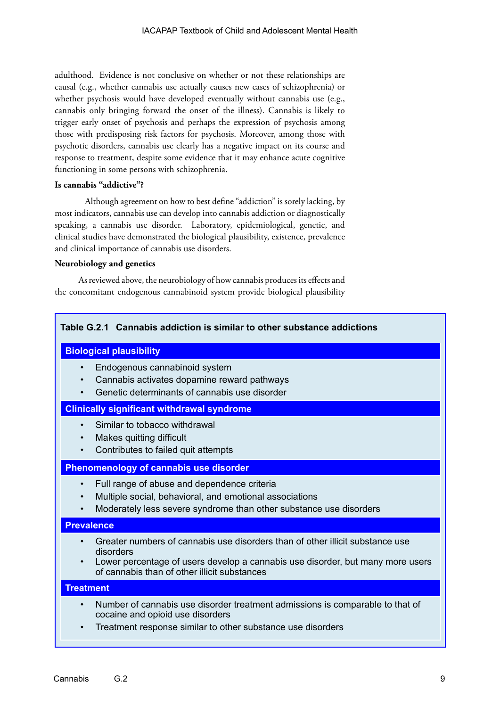adulthood. Evidence is not conclusive on whether or not these relationships are causal (e.g., whether cannabis use actually causes new cases of schizophrenia) or whether psychosis would have developed eventually without cannabis use (e.g., cannabis only bringing forward the onset of the illness). Cannabis is likely to trigger early onset of psychosis and perhaps the expression of psychosis among those with predisposing risk factors for psychosis. Moreover, among those with psychotic disorders, cannabis use clearly has a negative impact on its course and response to treatment, despite some evidence that it may enhance acute cognitive functioning in some persons with schizophrenia.

#### **Is cannabis "addictive"?**

Although agreement on how to best define "addiction" is sorely lacking, by most indicators, cannabis use can develop into cannabis addiction or diagnostically speaking, a cannabis use disorder. Laboratory, epidemiological, genetic, and clinical studies have demonstrated the biological plausibility, existence, prevalence and clinical importance of cannabis use disorders.

#### **Neurobiology and genetics**

As reviewed above, the neurobiology of how cannabis produces its effects and the concomitant endogenous cannabinoid system provide biological plausibility

# **Table G.2.1 Cannabis addiction is similar to other substance addictions**

#### **Biological plausibility**

- Endogenous cannabinoid system
- Cannabis activates dopamine reward pathways
- Genetic determinants of cannabis use disorder

# **Clinically significant withdrawal syndrome**

- Similar to tobacco withdrawal
- Makes quitting difficult
- Contributes to failed quit attempts

## **Phenomenology of cannabis use disorder**

- Full range of abuse and dependence criteria
- Multiple social, behavioral, and emotional associations
- Moderately less severe syndrome than other substance use disorders

#### **Prevalence**

- Greater numbers of cannabis use disorders than of other illicit substance use disorders
- Lower percentage of users develop a cannabis use disorder, but many more users of cannabis than of other illicit substances

# **Treatment**

- Number of cannabis use disorder treatment admissions is comparable to that of cocaine and opioid use disorders
- Treatment response similar to other substance use disorders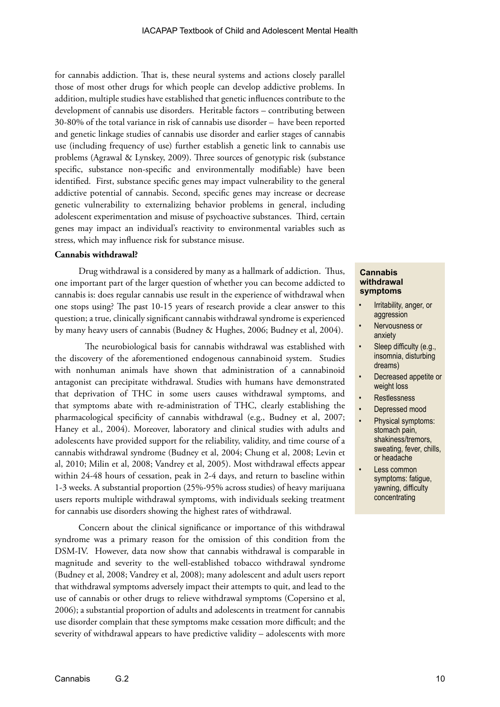for cannabis addiction. That is, these neural systems and actions closely parallel those of most other drugs for which people can develop addictive problems. In addition, multiple studies have established that genetic influences contribute to the development of cannabis use disorders. Heritable factors – contributing between 30-80% of the total variance in risk of cannabis use disorder – have been reported and genetic linkage studies of cannabis use disorder and earlier stages of cannabis use (including frequency of use) further establish a genetic link to cannabis use problems (Agrawal & Lynskey, 2009). Three sources of genotypic risk (substance specific, substance non-specific and environmentally modifiable) have been identified. First, substance specific genes may impact vulnerability to the general addictive potential of cannabis. Second, specific genes may increase or decrease genetic vulnerability to externalizing behavior problems in general, including adolescent experimentation and misuse of psychoactive substances. Third, certain genes may impact an individual's reactivity to environmental variables such as stress, which may influence risk for substance misuse.

#### **Cannabis withdrawal?**

Drug withdrawal is a considered by many as a hallmark of addiction. Thus, one important part of the larger question of whether you can become addicted to cannabis is: does regular cannabis use result in the experience of withdrawal when one stops using? The past 10-15 years of research provide a clear answer to this question; a true, clinically significant cannabis withdrawal syndrome is experienced by many heavy users of cannabis (Budney & Hughes, 2006; Budney et al, 2004).

The neurobiological basis for cannabis withdrawal was established with the discovery of the aforementioned endogenous cannabinoid system. Studies with nonhuman animals have shown that administration of a cannabinoid antagonist can precipitate withdrawal. Studies with humans have demonstrated that deprivation of THC in some users causes withdrawal symptoms, and that symptoms abate with re-administration of THC, clearly establishing the pharmacological specificity of cannabis withdrawal (e.g., Budney et al, 2007; Haney et al., 2004). Moreover, laboratory and clinical studies with adults and adolescents have provided support for the reliability, validity, and time course of a cannabis withdrawal syndrome (Budney et al, 2004; Chung et al, 2008; Levin et al, 2010; Milin et al, 2008; Vandrey et al, 2005). Most withdrawal effects appear within 24-48 hours of cessation, peak in 2-4 days, and return to baseline within 1-3 weeks. A substantial proportion (25%-95% across studies) of heavy marijuana users reports multiple withdrawal symptoms, with individuals seeking treatment for cannabis use disorders showing the highest rates of withdrawal.

Concern about the clinical significance or importance of this withdrawal syndrome was a primary reason for the omission of this condition from the DSM-IV. However, data now show that cannabis withdrawal is comparable in magnitude and severity to the well-established tobacco withdrawal syndrome (Budney et al, 2008; Vandrey et al, 2008); many adolescent and adult users report that withdrawal symptoms adversely impact their attempts to quit, and lead to the use of cannabis or other drugs to relieve withdrawal symptoms (Copersino et al, 2006); a substantial proportion of adults and adolescents in treatment for cannabis use disorder complain that these symptoms make cessation more difficult; and the severity of withdrawal appears to have predictive validity – adolescents with more

#### **Cannabis withdrawal symptoms**

- Irritability, anger, or aggression
- Nervousness or anxiety
- Sleep difficulty (e.g., insomnia, disturbing dreams)
- Decreased appetite or weight loss
- **Restlessness**
- Depressed mood
- Physical symptoms: stomach pain, shakiness/tremors, sweating, fever, chills, or headache
- Less common symptoms: fatigue, yawning, difficulty concentrating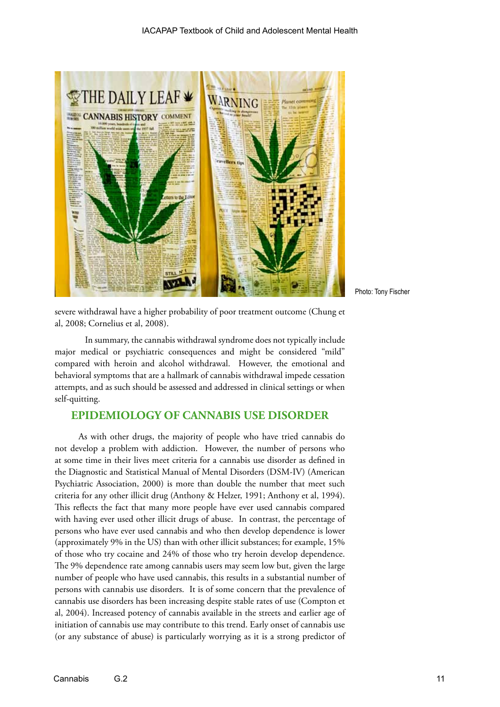

Photo: Tony Fischer

severe withdrawal have a higher probability of poor treatment outcome (Chung et al, 2008; Cornelius et al, 2008).

In summary, the cannabis withdrawal syndrome does not typically include major medical or psychiatric consequences and might be considered "mild" compared with heroin and alcohol withdrawal. However, the emotional and behavioral symptoms that are a hallmark of cannabis withdrawal impede cessation attempts, and as such should be assessed and addressed in clinical settings or when self-quitting.

# **EPIDEMIOLOGY OF CANNABIS USE DISORDER**

As with other drugs, the majority of people who have tried cannabis do not develop a problem with addiction. However, the number of persons who at some time in their lives meet criteria for a cannabis use disorder as defined in the Diagnostic and Statistical Manual of Mental Disorders (DSM-IV) (American Psychiatric Association, 2000) is more than double the number that meet such criteria for any other illicit drug (Anthony & Helzer, 1991; Anthony et al, 1994). This reflects the fact that many more people have ever used cannabis compared with having ever used other illicit drugs of abuse. In contrast, the percentage of persons who have ever used cannabis and who then develop dependence is lower (approximately 9% in the US) than with other illicit substances; for example, 15% of those who try cocaine and 24% of those who try heroin develop dependence. The 9% dependence rate among cannabis users may seem low but, given the large number of people who have used cannabis, this results in a substantial number of persons with cannabis use disorders. It is of some concern that the prevalence of cannabis use disorders has been increasing despite stable rates of use (Compton et al, 2004). Increased potency of cannabis available in the streets and earlier age of initiation of cannabis use may contribute to this trend. Early onset of cannabis use (or any substance of abuse) is particularly worrying as it is a strong predictor of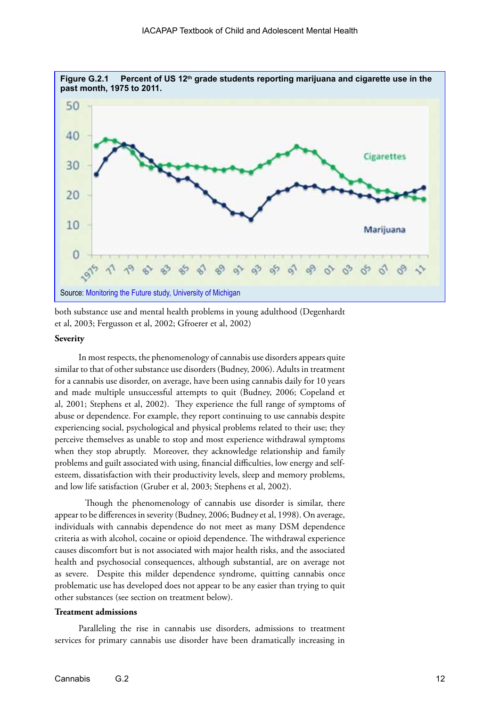

both substance use and mental health problems in young adulthood (Degenhardt et al, 2003; Fergusson et al, 2002; Gfroerer et al, 2002)

#### **Severity**

In most respects, the phenomenology of cannabis use disorders appears quite similar to that of other substance use disorders (Budney, 2006). Adults in treatment for a cannabis use disorder, on average, have been using cannabis daily for 10 years and made multiple unsuccessful attempts to quit (Budney, 2006; Copeland et al, 2001; Stephens et al, 2002). They experience the full range of symptoms of abuse or dependence. For example, they report continuing to use cannabis despite experiencing social, psychological and physical problems related to their use; they perceive themselves as unable to stop and most experience withdrawal symptoms when they stop abruptly. Moreover, they acknowledge relationship and family problems and guilt associated with using, financial difficulties, low energy and selfesteem, dissatisfaction with their productivity levels, sleep and memory problems, and low life satisfaction (Gruber et al, 2003; Stephens et al, 2002).

Though the phenomenology of cannabis use disorder is similar, there appear to be differences in severity (Budney, 2006; Budney et al, 1998). On average, individuals with cannabis dependence do not meet as many DSM dependence criteria as with alcohol, cocaine or opioid dependence. The withdrawal experience causes discomfort but is not associated with major health risks, and the associated health and psychosocial consequences, although substantial, are on average not as severe. Despite this milder dependence syndrome, quitting cannabis once problematic use has developed does not appear to be any easier than trying to quit other substances (see section on treatment below).

#### **Treatment admissions**

Paralleling the rise in cannabis use disorders, admissions to treatment services for primary cannabis use disorder have been dramatically increasing in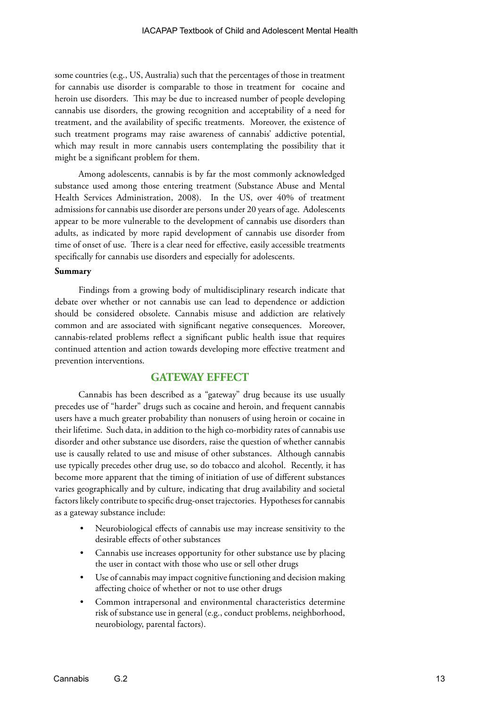some countries (e.g., US, Australia) such that the percentages of those in treatment for cannabis use disorder is comparable to those in treatment for cocaine and heroin use disorders. This may be due to increased number of people developing cannabis use disorders, the growing recognition and acceptability of a need for treatment, and the availability of specific treatments. Moreover, the existence of such treatment programs may raise awareness of cannabis' addictive potential, which may result in more cannabis users contemplating the possibility that it might be a significant problem for them.

Among adolescents, cannabis is by far the most commonly acknowledged substance used among those entering treatment (Substance Abuse and Mental Health Services Administration, 2008). In the US, over 40% of treatment admissions for cannabis use disorder are persons under 20 years of age. Adolescents appear to be more vulnerable to the development of cannabis use disorders than adults, as indicated by more rapid development of cannabis use disorder from time of onset of use. There is a clear need for effective, easily accessible treatments specifically for cannabis use disorders and especially for adolescents.

#### **Summary**

Findings from a growing body of multidisciplinary research indicate that debate over whether or not cannabis use can lead to dependence or addiction should be considered obsolete. Cannabis misuse and addiction are relatively common and are associated with significant negative consequences. Moreover, cannabis-related problems reflect a significant public health issue that requires continued attention and action towards developing more effective treatment and prevention interventions.

# **GATEWAY EFFECT**

Cannabis has been described as a "gateway" drug because its use usually precedes use of "harder" drugs such as cocaine and heroin, and frequent cannabis users have a much greater probability than nonusers of using heroin or cocaine in their lifetime. Such data, in addition to the high co-morbidity rates of cannabis use disorder and other substance use disorders, raise the question of whether cannabis use is causally related to use and misuse of other substances. Although cannabis use typically precedes other drug use, so do tobacco and alcohol. Recently, it has become more apparent that the timing of initiation of use of different substances varies geographically and by culture, indicating that drug availability and societal factors likely contribute to specific drug-onset trajectories. Hypotheses for cannabis as a gateway substance include:

- Neurobiological effects of cannabis use may increase sensitivity to the desirable effects of other substances
- Cannabis use increases opportunity for other substance use by placing the user in contact with those who use or sell other drugs
- Use of cannabis may impact cognitive functioning and decision making affecting choice of whether or not to use other drugs
- Common intrapersonal and environmental characteristics determine risk of substance use in general (e.g., conduct problems, neighborhood, neurobiology, parental factors).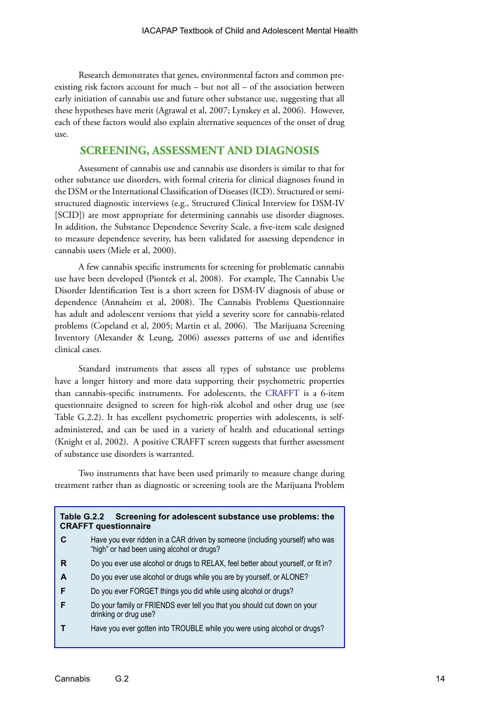Research demonstrates that genes, environmental factors and common preexisting risk factors account for much – but not all – of the association between early initiation of cannabis use and future other substance use, suggesting that all these hypotheses have merit (Agrawal et al, 2007; Lynskey et al, 2006). However, each of these factors would also explain alternative sequences of the onset of drug use.

# **SCREENING, ASSESSMENT AND DIAGNOSIS**

Assessment of cannabis use and cannabis use disorders is similar to that for other substance use disorders, with formal criteria for clinical diagnoses found in the DSM or the International Classification of Diseases (ICD). Structured or semistructured diagnostic interviews (e.g., Structured Clinical Interview for DSM-IV [SCID]) are most appropriate for determining cannabis use disorder diagnoses. In addition, the Substance Dependence Severity Scale, a five-item scale designed to measure dependence severity, has been validated for assessing dependence in cannabis users (Miele et al, 2000).

A few cannabis specific instruments for screening for problematic cannabis use have been developed (Piontek et al, 2008). For example, The Cannabis Use Disorder Identification Test is a short screen for DSM-IV diagnosis of abuse or dependence (Annaheim et al, 2008). The Cannabis Problems Questionnaire has adult and adolescent versions that yield a severity score for cannabis-related problems (Copeland et al, 2005; Martin et al, 2006). The Marijuana Screening Inventory (Alexander & Leung, 2006) assesses patterns of use and identifies clinical cases.

Standard instruments that assess all types of substance use problems have a longer history and more data supporting their psychometric properties than cannabis-specific instruments. For adolescents, the [CRAFFT](http://www.mcpap.com/pdf/CRAFFT%20Screening%20Tool.pdf) is a 6-item questionnaire designed to screen for high-risk alcohol and other drug use (see Table G.2.2). It has excellent psychometric properties with adolescents, is selfadministered, and can be used in a variety of health and educational settings (Knight et al, 2002). A positive CRAFFT screen suggests that further assessment of substance use disorders is warranted.

Two instruments that have been used primarily to measure change during treatment rather than as diagnostic or screening tools are the Marijuana Problem

| Table G.2.2 Screening for adolescent substance use problems: the<br><b>CRAFFT questionnaire</b> |                                                                                                                            |  |
|-------------------------------------------------------------------------------------------------|----------------------------------------------------------------------------------------------------------------------------|--|
| C                                                                                               | Have you ever ridden in a CAR driven by someone (including yourself) who was<br>"high" or had been using alcohol or drugs? |  |
| R                                                                                               | Do you ever use alcohol or drugs to RELAX, feel better about yourself, or fit in?                                          |  |
| A                                                                                               | Do you ever use alcohol or drugs while you are by yourself, or ALONE?                                                      |  |
| F                                                                                               | Do you ever FORGET things you did while using alcohol or drugs?                                                            |  |
| F                                                                                               | Do your family or FRIENDS ever tell you that you should cut down on your<br>drinking or drug use?                          |  |
|                                                                                                 | Have you ever gotten into TROUBLE while you were using alcohol or drugs?                                                   |  |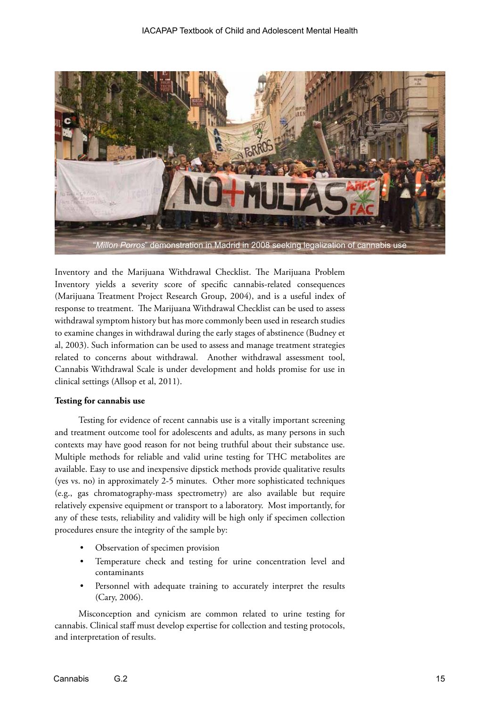

Inventory and the Marijuana Withdrawal Checklist. The Marijuana Problem Inventory yields a severity score of specific cannabis-related consequences (Marijuana Treatment Project Research Group, 2004), and is a useful index of response to treatment. The Marijuana Withdrawal Checklist can be used to assess withdrawal symptom history but has more commonly been used in research studies to examine changes in withdrawal during the early stages of abstinence (Budney et al, 2003). Such information can be used to assess and manage treatment strategies related to concerns about withdrawal. Another withdrawal assessment tool, Cannabis Withdrawal Scale is under development and holds promise for use in clinical settings (Allsop et al, 2011).

#### **Testing for cannabis use**

Testing for evidence of recent cannabis use is a vitally important screening and treatment outcome tool for adolescents and adults, as many persons in such contexts may have good reason for not being truthful about their substance use. Multiple methods for reliable and valid urine testing for THC metabolites are available. Easy to use and inexpensive dipstick methods provide qualitative results (yes vs. no) in approximately 2-5 minutes. Other more sophisticated techniques (e.g., gas chromatography-mass spectrometry) are also available but require relatively expensive equipment or transport to a laboratory. Most importantly, for any of these tests, reliability and validity will be high only if specimen collection procedures ensure the integrity of the sample by:

- Observation of specimen provision
- Temperature check and testing for urine concentration level and contaminants
- Personnel with adequate training to accurately interpret the results (Cary, 2006).

Misconception and cynicism are common related to urine testing for cannabis. Clinical staff must develop expertise for collection and testing protocols, and interpretation of results.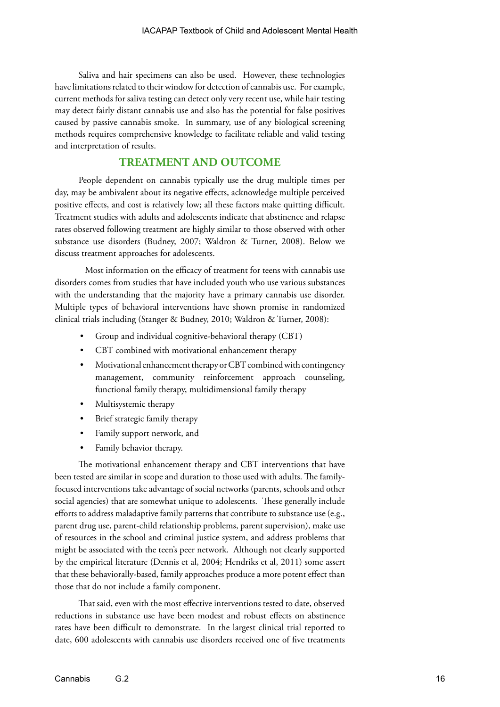Saliva and hair specimens can also be used. However, these technologies have limitations related to their window for detection of cannabis use. For example, current methods for saliva testing can detect only very recent use, while hair testing may detect fairly distant cannabis use and also has the potential for false positives caused by passive cannabis smoke. In summary, use of any biological screening methods requires comprehensive knowledge to facilitate reliable and valid testing and interpretation of results.

# **TREATMENT AND OUTCOME**

People dependent on cannabis typically use the drug multiple times per day, may be ambivalent about its negative effects, acknowledge multiple perceived positive effects, and cost is relatively low; all these factors make quitting difficult. Treatment studies with adults and adolescents indicate that abstinence and relapse rates observed following treatment are highly similar to those observed with other substance use disorders (Budney, 2007; Waldron & Turner, 2008). Below we discuss treatment approaches for adolescents.

Most information on the efficacy of treatment for teens with cannabis use disorders comes from studies that have included youth who use various substances with the understanding that the majority have a primary cannabis use disorder. Multiple types of behavioral interventions have shown promise in randomized clinical trials including (Stanger & Budney, 2010; Waldron & Turner, 2008):

- Group and individual cognitive-behavioral therapy (CBT)
- CBT combined with motivational enhancement therapy
- Motivational enhancement therapy or CBT combined with contingency management, community reinforcement approach counseling, functional family therapy, multidimensional family therapy
- Multisystemic therapy
- Brief strategic family therapy
- Family support network, and
- Family behavior therapy.

The motivational enhancement therapy and CBT interventions that have been tested are similar in scope and duration to those used with adults. The familyfocused interventions take advantage of social networks (parents, schools and other social agencies) that are somewhat unique to adolescents. These generally include efforts to address maladaptive family patterns that contribute to substance use (e.g., parent drug use, parent-child relationship problems, parent supervision), make use of resources in the school and criminal justice system, and address problems that might be associated with the teen's peer network. Although not clearly supported by the empirical literature (Dennis et al, 2004; Hendriks et al, 2011) some assert that these behaviorally-based, family approaches produce a more potent effect than those that do not include a family component.

That said, even with the most effective interventions tested to date, observed reductions in substance use have been modest and robust effects on abstinence rates have been difficult to demonstrate. In the largest clinical trial reported to date, 600 adolescents with cannabis use disorders received one of five treatments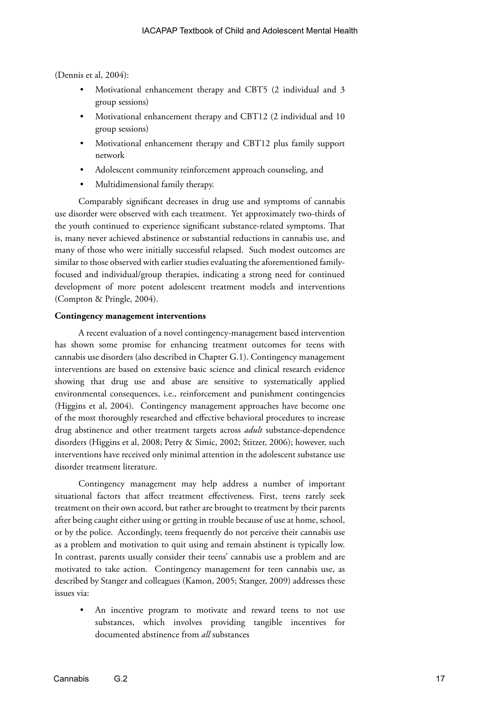(Dennis et al, 2004):

- Motivational enhancement therapy and CBT5 (2 individual and 3 group sessions)
- Motivational enhancement therapy and CBT12 (2 individual and 10 group sessions)
- Motivational enhancement therapy and CBT12 plus family support network
- Adolescent community reinforcement approach counseling, and
- Multidimensional family therapy.

Comparably significant decreases in drug use and symptoms of cannabis use disorder were observed with each treatment. Yet approximately two-thirds of the youth continued to experience significant substance-related symptoms. That is, many never achieved abstinence or substantial reductions in cannabis use, and many of those who were initially successful relapsed. Such modest outcomes are similar to those observed with earlier studies evaluating the aforementioned familyfocused and individual/group therapies, indicating a strong need for continued development of more potent adolescent treatment models and interventions (Compton & Pringle, 2004).

#### **Contingency management interventions**

A recent evaluation of a novel contingency-management based intervention has shown some promise for enhancing treatment outcomes for teens with cannabis use disorders (also described in Chapter G.1). Contingency management interventions are based on extensive basic science and clinical research evidence showing that drug use and abuse are sensitive to systematically applied environmental consequences, i.e., reinforcement and punishment contingencies (Higgins et al, 2004). Contingency management approaches have become one of the most thoroughly researched and effective behavioral procedures to increase drug abstinence and other treatment targets across *adult* substance-dependence disorders (Higgins et al, 2008; Petry & Simic, 2002; Stitzer, 2006); however, such interventions have received only minimal attention in the adolescent substance use disorder treatment literature.

Contingency management may help address a number of important situational factors that affect treatment effectiveness. First, teens rarely seek treatment on their own accord, but rather are brought to treatment by their parents after being caught either using or getting in trouble because of use at home, school, or by the police. Accordingly, teens frequently do not perceive their cannabis use as a problem and motivation to quit using and remain abstinent is typically low. In contrast, parents usually consider their teens' cannabis use a problem and are motivated to take action. Contingency management for teen cannabis use, as described by Stanger and colleagues (Kamon, 2005; Stanger, 2009) addresses these issues via:

• An incentive program to motivate and reward teens to not use substances, which involves providing tangible incentives for documented abstinence from *all* substances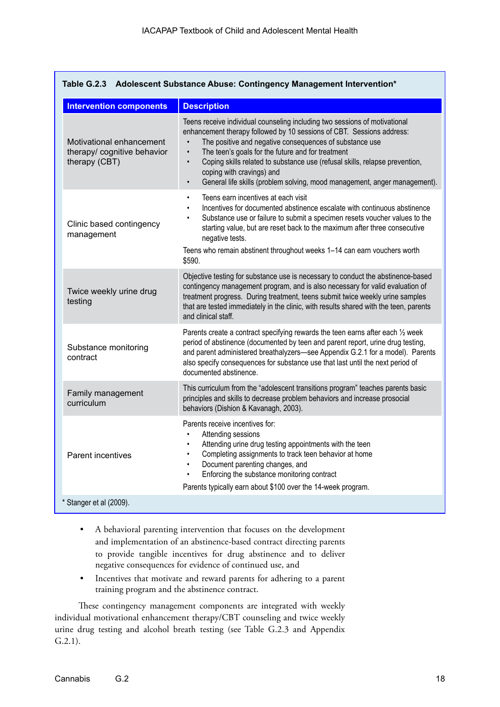| Table G.2.3 Adolescent Substance Abuse: Contingency Management Intervention* |                                                                                                                                                                                                                                                                                                                                                                                                                                                                                                     |  |  |
|------------------------------------------------------------------------------|-----------------------------------------------------------------------------------------------------------------------------------------------------------------------------------------------------------------------------------------------------------------------------------------------------------------------------------------------------------------------------------------------------------------------------------------------------------------------------------------------------|--|--|
| <b>Intervention components</b>                                               | <b>Description</b>                                                                                                                                                                                                                                                                                                                                                                                                                                                                                  |  |  |
| Motivational enhancement<br>therapy/ cognitive behavior<br>therapy (CBT)     | Teens receive individual counseling including two sessions of motivational<br>enhancement therapy followed by 10 sessions of CBT. Sessions address:<br>The positive and negative consequences of substance use<br>The teen's goals for the future and for treatment<br>$\bullet$<br>Coping skills related to substance use (refusal skills, relapse prevention,<br>$\bullet$<br>coping with cravings) and<br>General life skills (problem solving, mood management, anger management).<br>$\bullet$ |  |  |
| Clinic based contingency<br>management                                       | Teens earn incentives at each visit<br>$\bullet$<br>Incentives for documented abstinence escalate with continuous abstinence<br>$\bullet$<br>Substance use or failure to submit a specimen resets voucher values to the<br>٠<br>starting value, but are reset back to the maximum after three consecutive<br>negative tests.<br>Teens who remain abstinent throughout weeks 1-14 can earn vouchers worth<br>\$590.                                                                                  |  |  |
| Twice weekly urine drug<br>testing                                           | Objective testing for substance use is necessary to conduct the abstinence-based<br>contingency management program, and is also necessary for valid evaluation of<br>treatment progress. During treatment, teens submit twice weekly urine samples<br>that are tested immediately in the clinic, with results shared with the teen, parents<br>and clinical staff.                                                                                                                                  |  |  |
| Substance monitoring<br>contract                                             | Parents create a contract specifying rewards the teen earns after each 1/2 week<br>period of abstinence (documented by teen and parent report, urine drug testing,<br>and parent administered breathalyzers-see Appendix G.2.1 for a model). Parents<br>also specify consequences for substance use that last until the next period of<br>documented abstinence.                                                                                                                                    |  |  |
| Family management<br>curriculum                                              | This curriculum from the "adolescent transitions program" teaches parents basic<br>principles and skills to decrease problem behaviors and increase prosocial<br>behaviors (Dishion & Kavanagh, 2003).                                                                                                                                                                                                                                                                                              |  |  |
| Parent incentives                                                            | Parents receive incentives for:<br>Attending sessions<br>$\bullet$<br>Attending urine drug testing appointments with the teen<br>$\bullet$<br>Completing assignments to track teen behavior at home<br>$\bullet$<br>Document parenting changes, and<br>$\bullet$<br>Enforcing the substance monitoring contract<br>$\bullet$<br>Parents typically earn about \$100 over the 14-week program.                                                                                                        |  |  |
| * Stanger et al (2009).                                                      |                                                                                                                                                                                                                                                                                                                                                                                                                                                                                                     |  |  |

- A behavioral parenting intervention that focuses on the development and implementation of an abstinence-based contract directing parents to provide tangible incentives for drug abstinence and to deliver negative consequences for evidence of continued use, and
- Incentives that motivate and reward parents for adhering to a parent training program and the abstinence contract.

These contingency management components are integrated with weekly individual motivational enhancement therapy/CBT counseling and twice weekly urine drug testing and alcohol breath testing (see Table G.2.3 and Appendix G.2.1).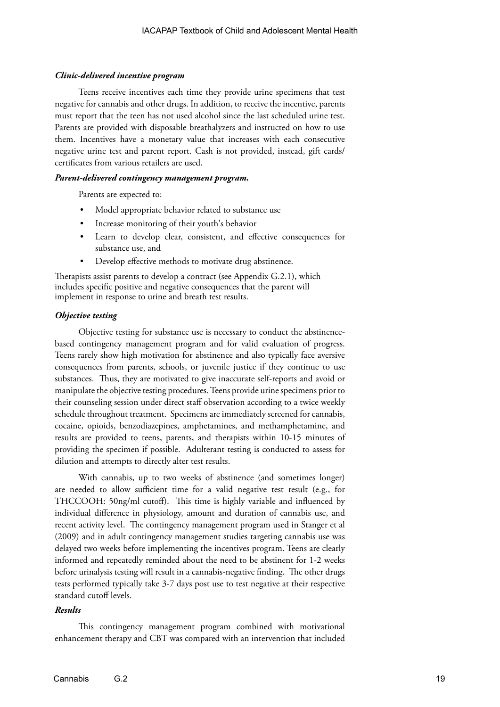#### *Clinic-delivered incentive program*

Teens receive incentives each time they provide urine specimens that test negative for cannabis and other drugs. In addition, to receive the incentive, parents must report that the teen has not used alcohol since the last scheduled urine test. Parents are provided with disposable breathalyzers and instructed on how to use them. Incentives have a monetary value that increases with each consecutive negative urine test and parent report. Cash is not provided, instead, gift cards/ certificates from various retailers are used.

#### *Parent-delivered contingency management program.*

Parents are expected to:

- Model appropriate behavior related to substance use
- Increase monitoring of their youth's behavior
- Learn to develop clear, consistent, and effective consequences for substance use, and
- Develop effective methods to motivate drug abstinence.

Therapists assist parents to develop a contract (see Appendix G.2.1), which includes specific positive and negative consequences that the parent will implement in response to urine and breath test results.

#### *Objective testing*

Objective testing for substance use is necessary to conduct the abstinencebased contingency management program and for valid evaluation of progress. Teens rarely show high motivation for abstinence and also typically face aversive consequences from parents, schools, or juvenile justice if they continue to use substances. Thus, they are motivated to give inaccurate self-reports and avoid or manipulate the objective testing procedures. Teens provide urine specimens prior to their counseling session under direct staff observation according to a twice weekly schedule throughout treatment. Specimens are immediately screened for cannabis, cocaine, opioids, benzodiazepines, amphetamines, and methamphetamine, and results are provided to teens, parents, and therapists within 10-15 minutes of providing the specimen if possible. Adulterant testing is conducted to assess for dilution and attempts to directly alter test results.

With cannabis, up to two weeks of abstinence (and sometimes longer) are needed to allow sufficient time for a valid negative test result (e.g., for THCCOOH: 50ng/ml cutoff). This time is highly variable and influenced by individual difference in physiology, amount and duration of cannabis use, and recent activity level. The contingency management program used in Stanger et al (2009) and in adult contingency management studies targeting cannabis use was delayed two weeks before implementing the incentives program. Teens are clearly informed and repeatedly reminded about the need to be abstinent for 1-2 weeks before urinalysis testing will result in a cannabis-negative finding. The other drugs tests performed typically take 3-7 days post use to test negative at their respective standard cutoff levels.

# *Results*

This contingency management program combined with motivational enhancement therapy and CBT was compared with an intervention that included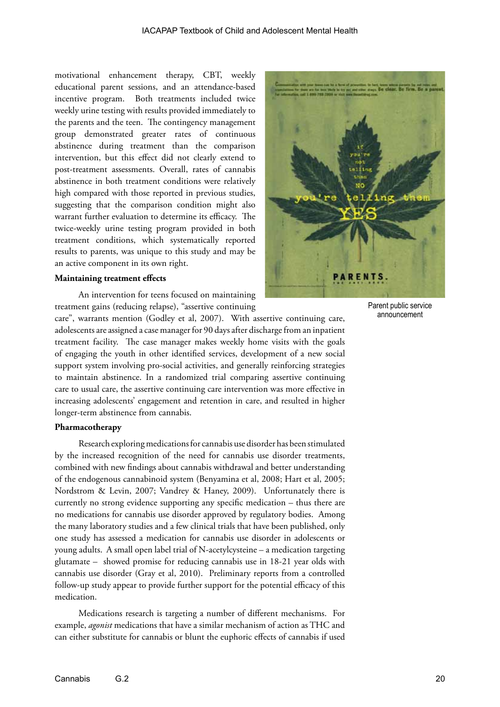motivational enhancement therapy, CBT, weekly educational parent sessions, and an attendance-based incentive program. Both treatments included twice weekly urine testing with results provided immediately to the parents and the teen. The contingency management group demonstrated greater rates of continuous abstinence during treatment than the comparison intervention, but this effect did not clearly extend to post-treatment assessments. Overall, rates of cannabis abstinence in both treatment conditions were relatively high compared with those reported in previous studies, suggesting that the comparison condition might also warrant further evaluation to determine its efficacy. The twice-weekly urine testing program provided in both treatment conditions, which systematically reported results to parents, was unique to this study and may be an active component in its own right.

#### **Maintaining treatment effects**

An intervention for teens focused on maintaining treatment gains (reducing relapse), "assertive continuing

care", warrants mention (Godley et al, 2007). With assertive continuing care, adolescents are assigned a case manager for 90 days after discharge from an inpatient treatment facility. The case manager makes weekly home visits with the goals of engaging the youth in other identified services, development of a new social support system involving pro-social activities, and generally reinforcing strategies to maintain abstinence. In a randomized trial comparing assertive continuing care to usual care, the assertive continuing care intervention was more effective in increasing adolescents' engagement and retention in care, and resulted in higher longer-term abstinence from cannabis.

### **Pharmacotherapy**

Research exploring medications for cannabis use disorder has been stimulated by the increased recognition of the need for cannabis use disorder treatments, combined with new findings about cannabis withdrawal and better understanding of the endogenous cannabinoid system (Benyamina et al, 2008; Hart et al, 2005; Nordstrom & Levin, 2007; Vandrey & Haney, 2009). Unfortunately there is currently no strong evidence supporting any specific medication – thus there are no medications for cannabis use disorder approved by regulatory bodies. Among the many laboratory studies and a few clinical trials that have been published, only one study has assessed a medication for cannabis use disorder in adolescents or young adults. A small open label trial of N-acetylcysteine – a medication targeting glutamate – showed promise for reducing cannabis use in 18-21 year olds with cannabis use disorder (Gray et al, 2010). Preliminary reports from a controlled follow-up study appear to provide further support for the potential efficacy of this medication.

Medications research is targeting a number of different mechanisms. For example, *agonist* medications that have a similar mechanism of action as THC and can either substitute for cannabis or blunt the euphoric effects of cannabis if used



Parent public service announcement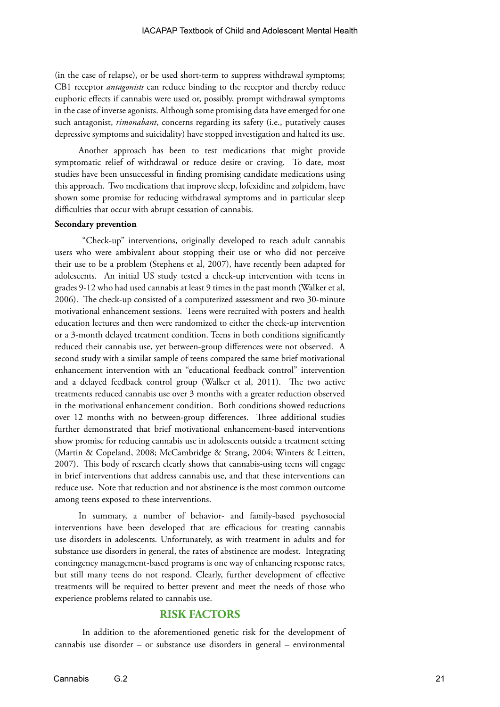(in the case of relapse), or be used short-term to suppress withdrawal symptoms; CB1 receptor *antagonists* can reduce binding to the receptor and thereby reduce euphoric effects if cannabis were used or, possibly, prompt withdrawal symptoms in the case of inverse agonists. Although some promising data have emerged for one such antagonist, *rimonabant*, concerns regarding its safety (i.e., putatively causes depressive symptoms and suicidality) have stopped investigation and halted its use.

Another approach has been to test medications that might provide symptomatic relief of withdrawal or reduce desire or craving. To date, most studies have been unsuccessful in finding promising candidate medications using this approach. Two medications that improve sleep, lofexidine and zolpidem, have shown some promise for reducing withdrawal symptoms and in particular sleep difficulties that occur with abrupt cessation of cannabis.

#### **Secondary prevention**

"Check-up" interventions, originally developed to reach adult cannabis users who were ambivalent about stopping their use or who did not perceive their use to be a problem (Stephens et al, 2007), have recently been adapted for adolescents. An initial US study tested a check-up intervention with teens in grades 9-12 who had used cannabis at least 9 times in the past month (Walker et al, 2006). The check-up consisted of a computerized assessment and two 30-minute motivational enhancement sessions. Teens were recruited with posters and health education lectures and then were randomized to either the check-up intervention or a 3-month delayed treatment condition. Teens in both conditions significantly reduced their cannabis use, yet between-group differences were not observed. A second study with a similar sample of teens compared the same brief motivational enhancement intervention with an "educational feedback control" intervention and a delayed feedback control group (Walker et al, 2011). The two active treatments reduced cannabis use over 3 months with a greater reduction observed in the motivational enhancement condition. Both conditions showed reductions over 12 months with no between-group differences. Three additional studies further demonstrated that brief motivational enhancement-based interventions show promise for reducing cannabis use in adolescents outside a treatment setting (Martin & Copeland, 2008; McCambridge & Strang, 2004; Winters & Leitten, 2007). This body of research clearly shows that cannabis-using teens will engage in brief interventions that address cannabis use, and that these interventions can reduce use. Note that reduction and not abstinence is the most common outcome among teens exposed to these interventions.

In summary, a number of behavior- and family-based psychosocial interventions have been developed that are efficacious for treating cannabis use disorders in adolescents. Unfortunately, as with treatment in adults and for substance use disorders in general, the rates of abstinence are modest. Integrating contingency management-based programs is one way of enhancing response rates, but still many teens do not respond. Clearly, further development of effective treatments will be required to better prevent and meet the needs of those who experience problems related to cannabis use.

# **RISK FACTORS**

 In addition to the aforementioned genetic risk for the development of cannabis use disorder – or substance use disorders in general – environmental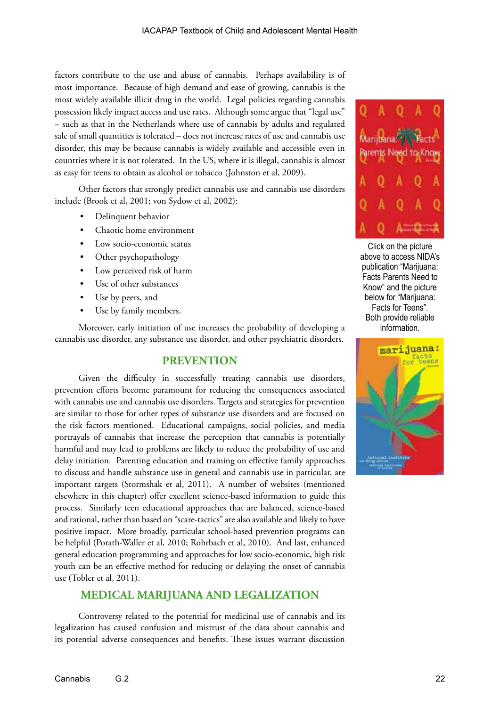factors contribute to the use and abuse of cannabis. Perhaps availability is of most importance. Because of high demand and ease of growing, cannabis is the most widely available illicit drug in the world. Legal policies regarding cannabis possession likely impact access and use rates. Although some argue that "legal use" – such as that in the Netherlands where use of cannabis by adults and regulated sale of small quantities is tolerated – does not increase rates of use and cannabis use disorder, this may be because cannabis is widely available and accessible even in countries where it is not tolerated. In the US, where it is illegal, cannabis is almost as easy for teens to obtain as alcohol or tobacco (Johnston et al, 2009).

Other factors that strongly predict cannabis use and cannabis use disorders include (Brook et al, 2001; von Sydow et al, 2002):

- Delinquent behavior
- Chaotic home environment
- Low socio-economic status
- Other psychopathology
- Low perceived risk of harm
- Use of other substances
- Use by peers, and
- Use by family members.

Moreover, early initiation of use increases the probability of developing a cannabis use disorder, any substance use disorder, and other psychiatric disorders.

#### **PREVENTION**

Given the difficulty in successfully treating cannabis use disorders, prevention efforts become paramount for reducing the consequences associated with cannabis use and cannabis use disorders. Targets and strategies for prevention are similar to those for other types of substance use disorders and are focused on the risk factors mentioned. Educational campaigns, social policies, and media portrayals of cannabis that increase the perception that cannabis is potentially harmful and may lead to problems are likely to reduce the probability of use and delay initiation. Parenting education and training on effective family approaches to discuss and handle substance use in general and cannabis use in particular, are important targets (Stormshak et al, 2011). A number of websites (mentioned elsewhere in this chapter) offer excellent science-based information to guide this process. Similarly teen educational approaches that are balanced, science-based and rational, rather than based on "scare-tactics" are also available and likely to have positive impact. More broadly, particular school-based prevention programs can be helpful (Porath-Waller et al, 2010; Rohrbach et al, 2010). And last, enhanced general education programming and approaches for low socio-economic, high risk youth can be an effective method for reducing or delaying the onset of cannabis use (Tobler et al, 2011).

# **MEDICAL MARIJUANA AND LEGALIZATION**

Controversy related to the potential for medicinal use of cannabis and its legalization has caused confusion and mistrust of the data about cannabis and its potential adverse consequences and benefits. These issues warrant discussion



Click on the picture above to access NIDA's publication "Marijuana: Facts Parents Need to Know" and the picture below for "Marijuana: Facts for Teens". Both provide reliable information.

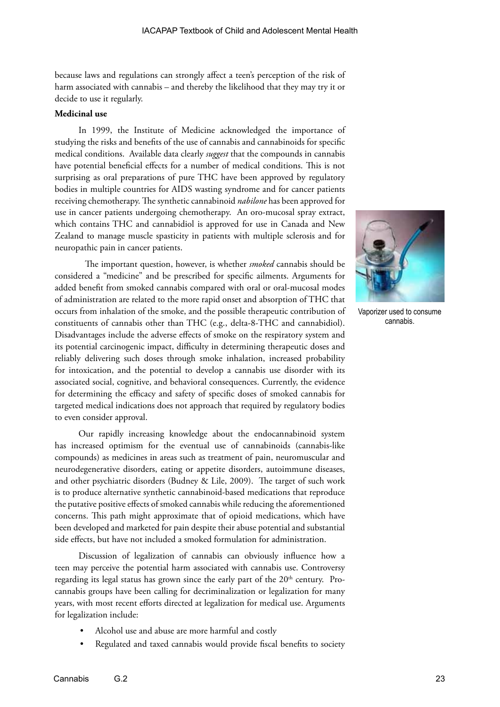because laws and regulations can strongly affect a teen's perception of the risk of harm associated with cannabis – and thereby the likelihood that they may try it or decide to use it regularly.

#### **Medicinal use**

In 1999, the Institute of Medicine acknowledged the importance of studying the risks and benefits of the use of cannabis and cannabinoids for specific medical conditions. Available data clearly *suggest* that the compounds in cannabis have potential beneficial effects for a number of medical conditions. This is not surprising as oral preparations of pure THC have been approved by regulatory bodies in multiple countries for AIDS wasting syndrome and for cancer patients receiving chemotherapy. The synthetic cannabinoid *nabilone* has been approved for use in cancer patients undergoing chemotherapy. An oro-mucosal spray extract, which contains THC and cannabidiol is approved for use in Canada and New Zealand to manage muscle spasticity in patients with multiple sclerosis and for neuropathic pain in cancer patients.

The important question, however, is whether *smoked* cannabis should be considered a "medicine" and be prescribed for specific ailments. Arguments for added benefit from smoked cannabis compared with oral or oral-mucosal modes of administration are related to the more rapid onset and absorption of THC that occurs from inhalation of the smoke, and the possible therapeutic contribution of constituents of cannabis other than THC (e.g., delta-8-THC and cannabidiol). Disadvantages include the adverse effects of smoke on the respiratory system and its potential carcinogenic impact, difficulty in determining therapeutic doses and reliably delivering such doses through smoke inhalation, increased probability for intoxication, and the potential to develop a cannabis use disorder with its associated social, cognitive, and behavioral consequences. Currently, the evidence for determining the efficacy and safety of specific doses of smoked cannabis for targeted medical indications does not approach that required by regulatory bodies to even consider approval.

Our rapidly increasing knowledge about the endocannabinoid system has increased optimism for the eventual use of cannabinoids (cannabis-like compounds) as medicines in areas such as treatment of pain, neuromuscular and neurodegenerative disorders, eating or appetite disorders, autoimmune diseases, and other psychiatric disorders (Budney & Lile, 2009). The target of such work is to produce alternative synthetic cannabinoid-based medications that reproduce the putative positive effects of smoked cannabis while reducing the aforementioned concerns. This path might approximate that of opioid medications, which have been developed and marketed for pain despite their abuse potential and substantial side effects, but have not included a smoked formulation for administration.

Discussion of legalization of cannabis can obviously influence how a teen may perceive the potential harm associated with cannabis use. Controversy regarding its legal status has grown since the early part of the  $20<sup>th</sup>$  century. Procannabis groups have been calling for decriminalization or legalization for many years, with most recent efforts directed at legalization for medical use. Arguments for legalization include:

- Alcohol use and abuse are more harmful and costly
- Regulated and taxed cannabis would provide fiscal benefits to society



Vaporizer used to consume cannabis.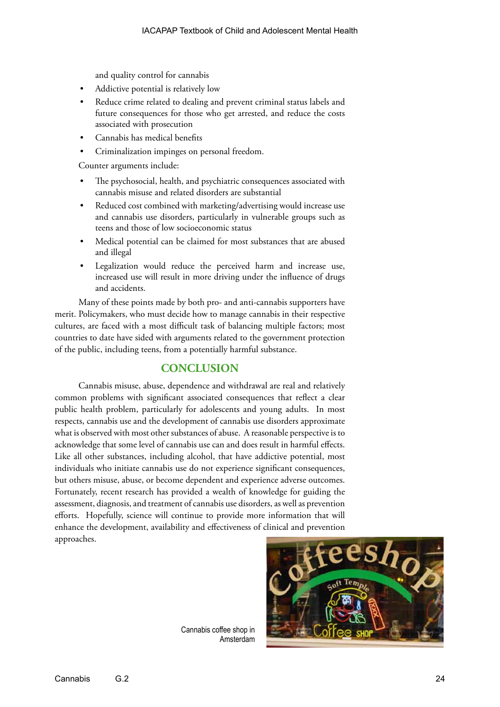and quality control for cannabis

- Addictive potential is relatively low
- Reduce crime related to dealing and prevent criminal status labels and future consequences for those who get arrested, and reduce the costs associated with prosecution
- Cannabis has medical benefits
- Criminalization impinges on personal freedom.

Counter arguments include:

- The psychosocial, health, and psychiatric consequences associated with cannabis misuse and related disorders are substantial
- Reduced cost combined with marketing/advertising would increase use and cannabis use disorders, particularly in vulnerable groups such as teens and those of low socioeconomic status
- Medical potential can be claimed for most substances that are abused and illegal
- Legalization would reduce the perceived harm and increase use, increased use will result in more driving under the influence of drugs and accidents.

Many of these points made by both pro- and anti-cannabis supporters have merit. Policymakers, who must decide how to manage cannabis in their respective cultures, are faced with a most difficult task of balancing multiple factors; most countries to date have sided with arguments related to the government protection of the public, including teens, from a potentially harmful substance.

# **CONCLUSION**

Cannabis misuse, abuse, dependence and withdrawal are real and relatively common problems with significant associated consequences that reflect a clear public health problem, particularly for adolescents and young adults. In most respects, cannabis use and the development of cannabis use disorders approximate what is observed with most other substances of abuse. A reasonable perspective is to acknowledge that some level of cannabis use can and does result in harmful effects. Like all other substances, including alcohol, that have addictive potential, most individuals who initiate cannabis use do not experience significant consequences, but others misuse, abuse, or become dependent and experience adverse outcomes. Fortunately, recent research has provided a wealth of knowledge for guiding the assessment, diagnosis, and treatment of cannabis use disorders, as well as prevention efforts. Hopefully, science will continue to provide more information that will enhance the development, availability and effectiveness of clinical and prevention approaches.



Cannabis coffee shop in Amsterdam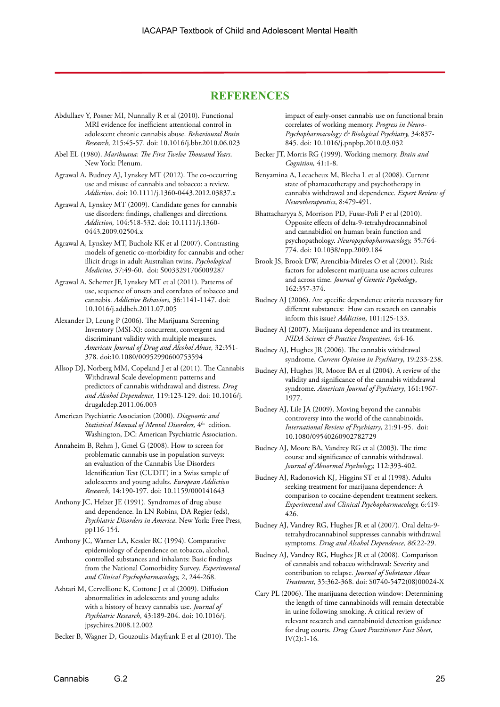# **REFERENCES**

- Abdullaev Y, Posner MI, Nunnally R et al (2010). Functional MRI evidence for inefficient attentional control in adolescent chronic cannabis abuse. *Behavioural Brain Research,* 215:45-57. doi: 10.1016/j.bbr.2010.06.023
- Abel EL (1980). *Marihuana: The First Twelve Thousand Years*. New York: Plenum.

Agrawal A, Budney AJ, Lynskey MT (2012). The co-occurring use and misuse of cannabis and tobacco: a review. *Addiction*. doi: 10.1111/j.1360-0443.2012.03837.x

- Agrawal A, Lynskey MT (2009). Candidate genes for cannabis use disorders: findings, challenges and directions. *Addiction,* 104:518-532. doi: 10.1111/j.1360- 0443.2009.02504.x
- Agrawal A, Lynskey MT, Bucholz KK et al (2007). Contrasting models of genetic co-morbidity for cannabis and other illicit drugs in adult Australian twins. *Psychological Medicine,* 37:49-60. doi: S0033291706009287
- Agrawal A, Scherrer JF, Lynskey MT et al (2011). Patterns of use, sequence of onsets and correlates of tobacco and cannabis. *Addictive Behaviors,* 36:1141-1147. doi: 10.1016/j.addbeh.2011.07.005
- Alexander D, Leung P (2006). The Marijuana Screening Inventory (MSI-X): concurrent, convergent and discriminant validity with multiple measures. *American Journal of Drug and Alcohol Abuse,* 32:351- 378. doi:10.1080/00952990600753594
- Allsop DJ, Norberg MM, Copeland J et al (2011). The Cannabis Withdrawal Scale development: patterns and predictors of cannabis withdrawal and distress. *Drug and Alcohol Dependence,* 119:123-129. doi: 10.1016/j. drugalcdep.2011.06.003
- American Psychiatric Association (2000). *Diagnostic and Statistical Manual of Mental Disorders,* 4th edition. Washington, DC: American Psychiatric Association.
- Annaheim B, Rehm J, Gmel G (2008). How to screen for problematic cannabis use in population surveys: an evaluation of the Cannabis Use Disorders Identification Test (CUDIT) in a Swiss sample of adolescents and young adults. *European Addiction Research,* 14:190-197. doi: 10.1159/000141643
- Anthony JC, Helzer JE (1991). Syndromes of drug abuse and dependence. In LN Robins, DA Regier (eds), *Psychiatric Disorders in America*. New York: Free Press, pp116-154.
- Anthony JC, Warner LA, Kessler RC (1994). Comparative epidemiology of dependence on tobacco, alcohol, controlled substances and inhalants: Basic findings from the National Comorbidity Survey. *Experimental and Clinical Psychopharmacology,* 2, 244-268.
- Ashtari M, Cervellione K, Cottone J et al (2009). Diffusion abnormalities in adolescents and young adults with a history of heavy cannabis use. *Journal of Psychiatric Research*, 43:189-204. doi: 10.1016/j. jpsychires.2008.12.002
- Becker B, Wagner D, Gouzoulis-Mayfrank E et al (2010). The

impact of early-onset cannabis use on functional brain correlates of working memory. *Progress in Neuro-Psychopharmacology & Biological Psychiatry,* 34:837- 845. doi: 10.1016/j.pnpbp.2010.03.032

Becker JT, Morris RG (1999). Working memory. *Brain and Cognition,* 41:1-8.

Benyamina A, Lecacheux M, Blecha L et al (2008). Current state of phamacotherapy and psychotherapy in cannabis withdrawal and dependence. *Expert Review of Neurotherapeutics*, 8:479-491.

Bhattacharyya S, Morrison PD, Fusar-Poli P et al (2010). Opposite effects of delta-9-tetrahydrocannabinol and cannabidiol on human brain function and psychopathology. *Neuropsychopharmacology,* 35:764- 774. doi: 10.1038/npp.2009.184

- Brook JS, Brook DW, Arencibia-Mireles O et al (2001). Risk factors for adolescent marijuana use across cultures and across time. *Journal of Genetic Psychology*, 162:357-374.
- Budney AJ (2006). Are specific dependence criteria necessary for different substances: How can research on cannabis inform this issue? *Addiction*, 101:125-133.
- Budney AJ (2007). Marijuana dependence and its treatment. *NIDA Science & Practice Perspectives,* 4:4-16.
- Budney AJ, Hughes JR (2006). The cannabis withdrawal syndrome. *Current Opinion in Psychiatry*, 19:233-238.
- Budney AJ, Hughes JR, Moore BA et al (2004). A review of the validity and significance of the cannabis withdrawal syndrome. *American Journal of Psychiatry*, 161:1967- 1977.

Budney AJ, Lile JA (2009). Moving beyond the cannabis controversy into the world of the cannabinoids. *International Review of Psychiatry*, 21:91-95. doi: 10.1080/09540260902782729

- Budney AJ, Moore BA, Vandrey RG et al (2003). The time course and significance of cannabis withdrawal. *Journal of Abnormal Psychology,* 112:393-402.
- Budney AJ, Radonovich KJ, Higgins ST et al (1998). Adults seeking treatment for marijuana dependence: A comparison to cocaine-dependent treatment seekers. *Experimental and Clinical Psychopharmacology,* 6:419- 426.

Budney AJ, Vandrey RG, Hughes JR et al (2007). Oral delta-9 tetrahydrocannabinol suppresses cannabis withdrawal symptoms. *Drug and Alcohol Dependence, 86*:22-29.

- Budney AJ, Vandrey RG, Hughes JR et al (2008). Comparison of cannabis and tobacco withdrawal: Severity and contribution to relapse. *Journal of Substance Abuse Treatment*, 35:362-368. doi: S0740-5472(08)00024-X
- Cary PL (2006). The marijuana detection window: Determining the length of time cannabinoids will remain detectable in urine following smoking. A critical review of relevant research and cannabinoid detection guidance for drug courts. *Drug Court Practitioner Fact Sheet*, IV(2):1-16.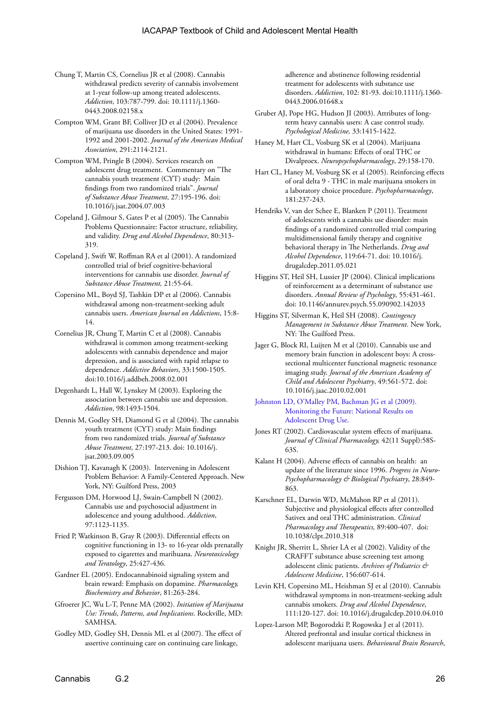- Chung T, Martin CS, Cornelius JR et al (2008). Cannabis withdrawal predicts severity of cannabis involvement at 1-year follow-up among treated adolescents. *Addiction*, 103:787-799. doi: 10.1111/j.1360- 0443.2008.02158.x
- Compton WM, Grant BF, Colliver JD et al (2004). Prevalence of marijuana use disorders in the United States: 1991- 1992 and 2001-2002. *Journal of the American Medical Association*, 291:2114-2121.
- Compton WM, Pringle B (2004). Services research on adolescent drug treatment. Commentary on "The cannabis youth treatment (CYT) study: Main findings from two randomized trials". *Journal of Substance Abuse Treatment*, 27:195-196. doi: 10.1016/j.jsat.2004.07.003
- Copeland J, Gilmour S, Gates P et al (2005). The Cannabis Problems Questionnaire: Factor structure, reliability, and validity. *Drug and Alcohol Dependence*, 80:313- 319.
- Copeland J, Swift W, Roffman RA et al (2001). A randomized controlled trial of brief cognitive-behavioral interventions for cannabis use disorder. *Journal of Substance Abuse Treatment,* 21:55-64.
- Copersino ML, Boyd SJ, Tashkin DP et al (2006). Cannabis withdrawal among non-treatment-seeking adult cannabis users. *American Journal on Addictions*, 15:8- 14.
- Cornelius JR, Chung T, Martin C et al (2008). Cannabis withdrawal is common among treatment-seeking adolescents with cannabis dependence and major depression, and is associated with rapid relapse to dependence. *Addictive Behaviors*, 33:1500-1505. doi:10.1016/j.addbeh.2008.02.001
- Degenhardt L, Hall W, Lynskey M (2003). Exploring the association between cannabis use and depression. *Addiction*, 98:1493-1504.
- Dennis M, Godley SH, Diamond G et al (2004). The cannabis youth treatment (CYT) study: Main findings from two randomized trials. *Journal of Substance Abuse Treatment*, 27:197-213. doi: 10.1016/j. jsat.2003.09.005
- Dishion TJ, Kavanagh K (2003). Intervening in Adolescent Problem Behavior: A Family-Centered Approach. New York, NY: Guilford Press, 2003
- Fergusson DM, Horwood LJ, Swain-Campbell N (2002). Cannabis use and psychosocial adjustment in adolescence and young adulthood. *Addiction*, 97:1123-1135.
- Fried P, Watkinson B, Gray R (2003). Differential effects on cognitive functioning in 13- to 16-year olds prenatally exposed to cigarettes and marihuana. *Neurotoxicology and Teratology*, 25:427-436.
- Gardner EL (2005). Endocannabinoid signaling system and brain reward: Emphasis on dopamine. *Pharmacology, Biochemistry and Behavior*, 81:263-284.
- Gfroerer JC, Wu L-T, Penne MA (2002). *Initiation of Marijuana Use: Trends, Patterns, and Implications*. Rockville, MD: **SAMHSA**
- Godley MD, Godley SH, Dennis ML et al (2007). The effect of assertive continuing care on continuing care linkage,

adherence and abstinence following residential treatment for adolescents with substance use disorders. *Addiction*, 102: 81-93. doi:10.1111/j.1360- 0443.2006.01648.x

- Gruber AJ, Pope HG, Hudson JI (2003). Attributes of longterm heavy cannabis users: A case control study. *Psychological Medicine,* 33:1415-1422.
- Haney M, Hart CL, Vosburg SK et al (2004). Marijuana withdrawal in humans: Effects of oral THC or Divalproex. *Neuropsychopharmacology*, 29:158-170.
- Hart CL, Haney M, Vosburg SK et al (2005). Reinforcing effects of oral delta 9 - THC in male marijuana smokers in a laboratory choice procedure. *Psychopharmacology*, 181:237-243.
- Hendriks V, van der Schee E, Blanken P (2011). Treatment of adolescents with a cannabis use disorder: main findings of a randomized controlled trial comparing multidimensional family therapy and cognitive behavioral therapy in The Netherlands. *Drug and Alcohol Dependence*, 119:64-71. doi: 10.1016/j. drugalcdep.2011.05.021
- Higgins ST, Heil SH, Lussier JP (2004). Clinical implications of reinforcement as a determinant of substance use disorders. *Annual Review of Psychology*, 55:431-461. doi: 10.1146/annurev.psych.55.090902.142033
- Higgins ST, Silverman K, Heil SH (2008). *Contingency Management in Substance Abuse Treatment*. New York, NY: The Guilford Press.
- Jager G, Block RI, Luijten M et al (2010). Cannabis use and memory brain function in adolescent boys: A crosssectional multicenter functional magnetic resonance imaging study. *Journal of the American Academy of Child and Adolescent Psychiatry*, 49:561-572. doi: 10.1016/j.jaac.2010.02.001
- [Johnston LD, O'Malley PM, Bachman JG et al \(2009\).](http://www.monitoringthefuture.org/pubs.html )  [Monitoring the Future: National Results on](http://www.monitoringthefuture.org/pubs.html )  [Adolescent Drug Use.](http://www.monitoringthefuture.org/pubs.html )
- Jones RT (2002). Cardiovascular system effects of marijuana. *Journal of Clinical Pharmacology,* 42(11 Suppl):58S-63S.
- Kalant H (2004). Adverse effects of cannabis on health: an update of the literature since 1996. *Progress in Neuro-Psychopharmacology & Biological Psychiatry*, 28:849- 863.
- Karschner EL, Darwin WD, McMahon RP et al (2011). Subjective and physiological effects after controlled Sativex and oral THC administration. *Clinical Pharmacology and Therapeutics,* 89:400-407. doi: 10.1038/clpt.2010.318
- Knight JR, Sherritt L, Shrier LA et al (2002). Validity of the CRAFFT substance abuse screening test among adolescent clinic patients. *Archives of Pediatrics & Adolescent Medicine*, 156:607-614.
- Levin KH, Copersino ML, Heishman SJ et al (2010). Cannabis withdrawal symptoms in non-treatment-seeking adult cannabis smokers. *Drug and Alcohol Dependence*, 111:120-127. doi: 10.1016/j.drugalcdep.2010.04.010
- Lopez-Larson MP, Bogorodzki P, Rogowska J et al (2011). Altered prefrontal and insular cortical thickness in adolescent marijuana users. *Behavioural Brain Research*,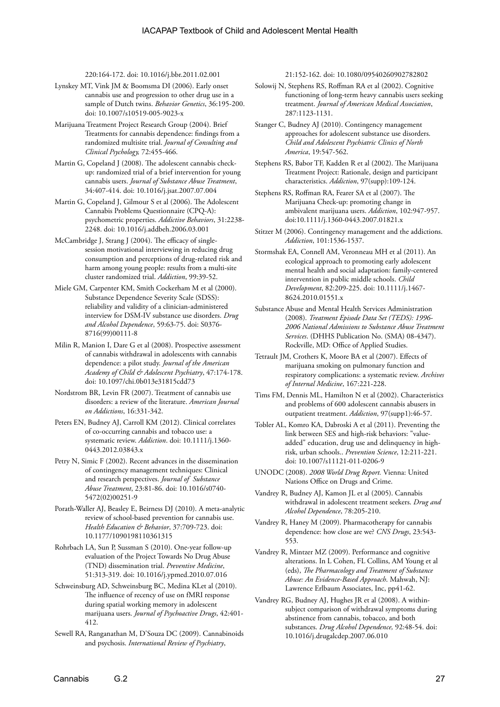220:164-172. doi: 10.1016/j.bbr.2011.02.001

- Lynskey MT, Vink JM & Boomsma DI (2006). Early onset cannabis use and progression to other drug use in a sample of Dutch twins. *Behavior Genetics*, 36:195-200. doi: 10.1007/s10519-005-9023-x
- Marijuana Treatment Project Research Group (2004). Brief Treatments for cannabis dependence: findings from a randomized multisite trial. *Journal of Consulting and Clinical Psychology,* 72:455-466.
- Martin G, Copeland J (2008). The adolescent cannabis checkup: randomized trial of a brief intervention for young cannabis users. *Journal of Substance Abuse Treatment*, 34:407-414. doi: 10.1016/j.jsat.2007.07.004
- Martin G, Copeland J, Gilmour S et al (2006). The Adolescent Cannabis Problems Questionnaire (CPQ-A): psychometric properties. *Addictive Behaviors*, 31:2238- 2248. doi: 10.1016/j.addbeh.2006.03.001
- McCambridge J, Strang J (2004). The efficacy of singlesession motivational interviewing in reducing drug consumption and perceptions of drug-related risk and harm among young people: results from a multi-site cluster randomized trial. *Addiction*, 99:39-52.
- Miele GM, Carpenter KM, Smith Cockerham M et al (2000). Substance Dependence Severity Scale (SDSS): reliability and validity of a clinician-administered interview for DSM-IV substance use disorders. *Drug and Alcohol Dependence*, 59:63-75. doi: S0376- 8716(99)00111-8
- Milin R, Manion I, Dare G et al (2008). Prospective assessment of cannabis withdrawal in adolescents with cannabis dependence: a pilot study. *Journal of the American Academy of Child & Adolescent Psychiatry*, 47:174-178. doi: 10.1097/chi.0b013e31815cdd73
- Nordstrom BR, Levin FR (2007). Treatment of cannabis use disorders: a review of the literature. *American Journal on Addictions*, 16:331-342.
- Peters EN, Budney AJ, Carroll KM (2012). Clinical correlates of co-occurring cannabis and tobacco use: a systematic review. *Addiction*. doi: 10.1111/j.1360- 0443.2012.03843.x
- Petry N, Simic F (2002). Recent advances in the dissemination of contingency management techniques: Clinical and research perspectives. *Journal of Substance Abuse Treatment*, 23:81-86. doi: 10.1016/s0740- 5472(02)00251-9
- Porath-Waller AJ, Beasley E, Beirness DJ (2010). A meta-analytic review of school-based prevention for cannabis use. *Health Education & Behavior*, 37:709-723. doi: 10.1177/1090198110361315
- Rohrbach LA, Sun P, Sussman S (2010). One-year follow-up evaluation of the Project Towards No Drug Abuse (TND) dissemination trial. *Preventive Medicine*, 51:313-319. doi: 10.1016/j.ypmed.2010.07.016
- Schweinsburg AD, Schweinsburg BC, Medina KLet al (2010). The influence of recency of use on fMRI response during spatial working memory in adolescent marijuana users. *Journal of Psychoactive Drugs*, 42:401- 412.
- Sewell RA, Ranganathan M, D'Souza DC (2009). Cannabinoids and psychosis. *International Review of Psychiatry*,

21:152-162. doi: 10.1080/09540260902782802

- Solowij N, Stephens RS, Roffman RA et al (2002). Cognitive functioning of long-term heavy cannabis users seeking treatment. *Journal of American Medical Association*, 287:1123-1131.
- Stanger C, Budney AJ (2010). Contingency management approaches for adolescent substance use disorders. *Child and Adolescent Psychiatric Clinics of North America*, 19:547-562.
- Stephens RS, Babor TF, Kadden R et al (2002). The Marijuana Treatment Project: Rationale, design and participant characteristics. *Addiction*, 97(supp):109-124.
- Stephens RS, Roffman RA, Fearer SA et al (2007). The Marijuana Check-up: promoting change in ambivalent marijuana users. *Addiction*, 102:947-957. doi:10.1111/j.1360-0443.2007.01821.x
- Stitzer M (2006). Contingency management and the addictions. *Addiction*, 101:1536-1537.
- Stormshak EA, Connell AM, Veronneau MH et al (2011). An ecological approach to promoting early adolescent mental health and social adaptation: family-centered intervention in public middle schools. *Child Development*, 82:209-225. doi: 10.1111/j.1467- 8624.2010.01551.x
- Substance Abuse and Mental Health Services Administration (2008). *Treatment Episode Data Set (TEDS): 1996- 2006 National Admissions to Substance Abuse Treatment Services*. (DHHS Publication No. (SMA) 08-4347). Rockville, MD: Office of Applied Studies.
- Tetrault JM, Crothers K, Moore BA et al (2007). Effects of marijuana smoking on pulmonary function and respiratory complications: a systematic review. *Archives of Internal Medicine*, 167:221-228.
- Tims FM, Dennis ML, Hamilton N et al (2002). Characteristics and problems of 600 adolescent cannabis abusers in outpatient treatment. *Addiction*, 97(supp1):46-57.
- Tobler AL, Komro KA, Dabroski A et al (2011). Preventing the link between SES and high-risk behaviors: "valueadded" education, drug use and delinquency in highrisk, urban schools.. *Prevention Science*, 12:211-221. doi: 10.1007/s11121-011-0206-9
- UNODC (2008). *2008 World Drug Report.* Vienna: United Nations Office on Drugs and Crime.
- Vandrey R, Budney AJ, Kamon JL et al (2005). Cannabis withdrawal in adolescent treatment seekers. *Drug and Alcohol Dependence*, 78:205-210.
- Vandrey R, Haney M (2009). Pharmacotherapy for cannabis dependence: how close are we? *CNS Drugs*, 23:543- 553.
- Vandrey R, Mintzer MZ (2009). Performance and cognitive alterations. In L Cohen, FL Collins, AM Young et al (eds), *The Pharmacology and Treatment of Substance Abuse: An Evidence-Based Approach*. Mahwah, NJ: Lawrence Erlbaum Associates, Inc, pp41-62.
- Vandrey RG, Budney AJ, Hughes JR et al (2008). A withinsubject comparison of withdrawal symptoms during abstinence from cannabis, tobacco, and both substances. *Drug Alcohol Dependence,* 92:48-54. doi: 10.1016/j.drugalcdep.2007.06.010